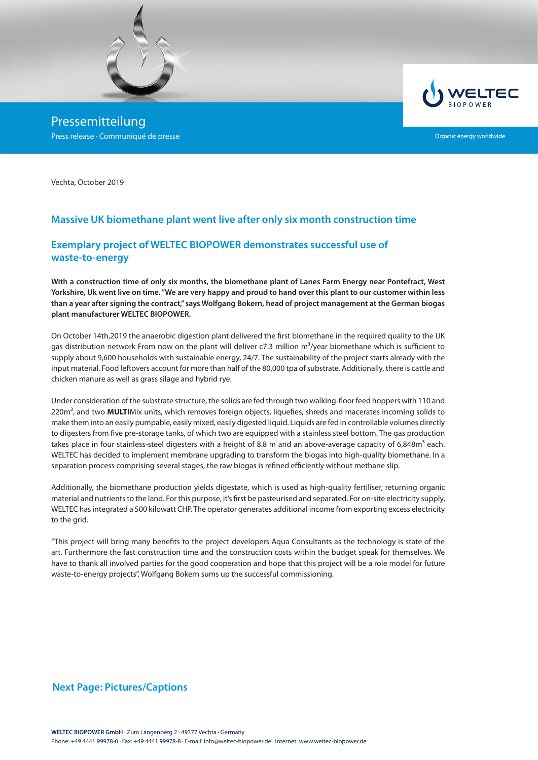

Pressemitteilung Press release · Communiqué de presse



Organic energy worldwide

Vechta, October 2019

# **Massive UK biomethane plant went live after only six month construction time**

# **Exemplary project of WELTEC BIOPOWER demonstrates successful use of waste-to-energy**

**With a construction time of only six months, the biomethane plant of Lanes Farm Energy near Pontefract, West Yorkshire, Uk went live on time. "We are very happy and proud to hand over this plant to our customer within less than a year after signing the contract," says Wolfgang Bokern, head of project management at the German biogas plant manufacturer WELTEC BIOPOWER.**

On October 14th,2019 the anaerobic digestion plant delivered the first biomethane in the required quality to the UK gas distribution network From now on the plant will deliver c7.3 million  $m^3$ /year biomethane which is sufficient to supply about 9,600 households with sustainable energy, 24/7. The sustainability of the project starts already with the input material. Food leftovers account for more than half of the 80,000 tpa of substrate. Additionally, there is cattle and chicken manure as well as grass silage and hybrid rye.

Under consideration of the substrate structure, the solids are fed through two walking-floor feed hoppers with 110 and 220m<sup>3</sup>, and two **MULTI**Mix units, which removes foreign objects, liquefies, shreds and macerates incoming solids to make them into an easily pumpable, easily mixed, easily digested liquid. Liquids are fed in controllable volumes directly to digesters from five pre-storage tanks, of which two are equipped with a stainless steel bottom. The gas production takes place in four stainless-steel digesters with a height of 8.8 m and an above-average capacity of 6,848 $m<sup>3</sup>$  each. WELTEC has decided to implement membrane upgrading to transform the biogas into high-quality biomethane. In a separation process comprising several stages, the raw biogas is refined efficiently without methane slip.

Additionally, the biomethane production yields digestate, which is used as high-quality fertiliser, returning organic material and nutrients to the land. For this purpose, it's first be pasteurised and separated. For on-site electricity supply, WELTEC has integrated a 500 kilowatt CHP. The operator generates additional income from exporting excess electricity to the grid.

"This project will bring many benefits to the project developers Aqua Consultants as the technology is state of the art. Furthermore the fast construction time and the construction costs within the budget speak for themselves. We have to thank all involved parties for the good cooperation and hope that this project will be a role model for future waste-to-energy projects", Wolfgang Bokern sums up the successful commissioning.

#### **Next Page: Pictures/Captions**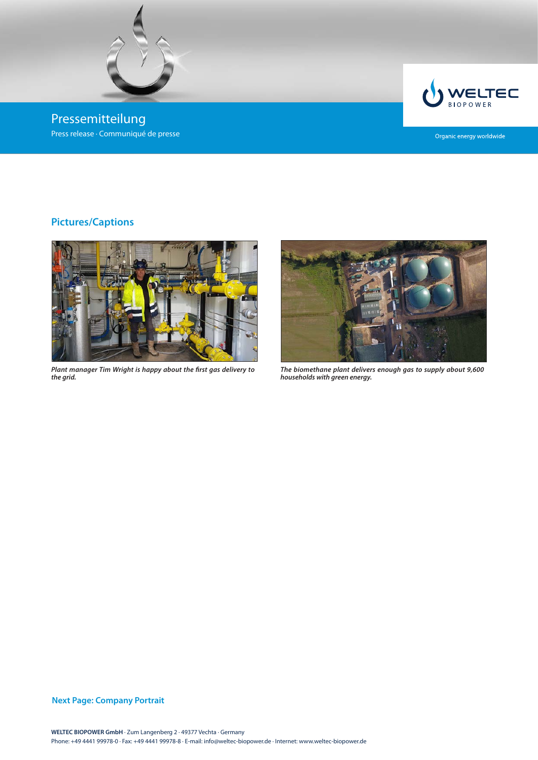

Pressemitteilung Press release · Communiqué de presse



Organic energy worldwide

# **Pictures/Captions**



*Plant manager Tim Wright is happy about the first gas delivery to the grid.*



*The biomethane plant delivers enough gas to supply about 9,600 households with green energy.*